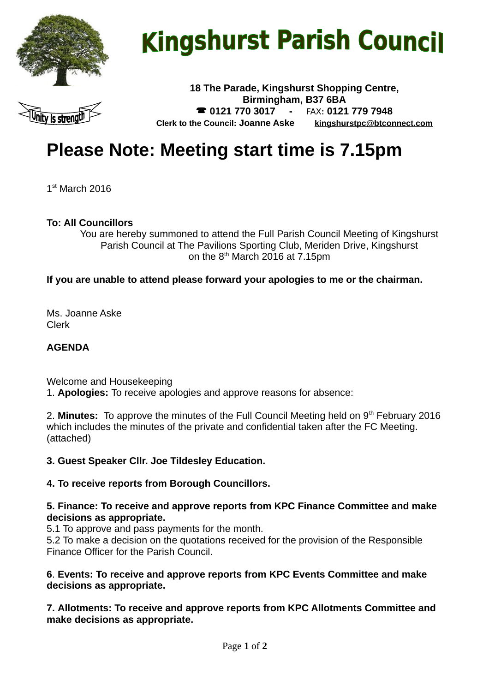

# **Kingshurst Parish Council**



**18 The Parade, Kingshurst Shopping Centre, Birmingham, B37 6BA 0121 770 3017 -** FAX**: 0121 779 7948 Clerk to the Council: Joanne Aske [kingshurstpc@btconnect.com](mailto:kingshurstpc@btconnect.com)**

# **Please Note: Meeting start time is 7.15pm**

1 st March 2016

## **To: All Councillors**

You are hereby summoned to attend the Full Parish Council Meeting of Kingshurst Parish Council at The Pavilions Sporting Club, Meriden Drive, Kingshurst on the  $8<sup>th</sup>$  March 2016 at 7.15pm

## **If you are unable to attend please forward your apologies to me or the chairman.**

Ms. Joanne Aske Clerk

#### **AGENDA**

Welcome and Housekeeping 1. **Apologies:** To receive apologies and approve reasons for absence:

2. **Minutes:** To approve the minutes of the Full Council Meeting held on 9<sup>th</sup> February 2016 which includes the minutes of the private and confidential taken after the FC Meeting. (attached)

#### **3. Guest Speaker Cllr. Joe Tildesley Education.**

#### **4. To receive reports from Borough Councillors.**

#### **5. Finance: To receive and approve reports from KPC Finance Committee and make decisions as appropriate.**

5.1 To approve and pass payments for the month.

5.2 To make a decision on the quotations received for the provision of the Responsible Finance Officer for the Parish Council.

#### **6**. **Events: To receive and approve reports from KPC Events Committee and make decisions as appropriate.**

**7. Allotments: To receive and approve reports from KPC Allotments Committee and make decisions as appropriate.**